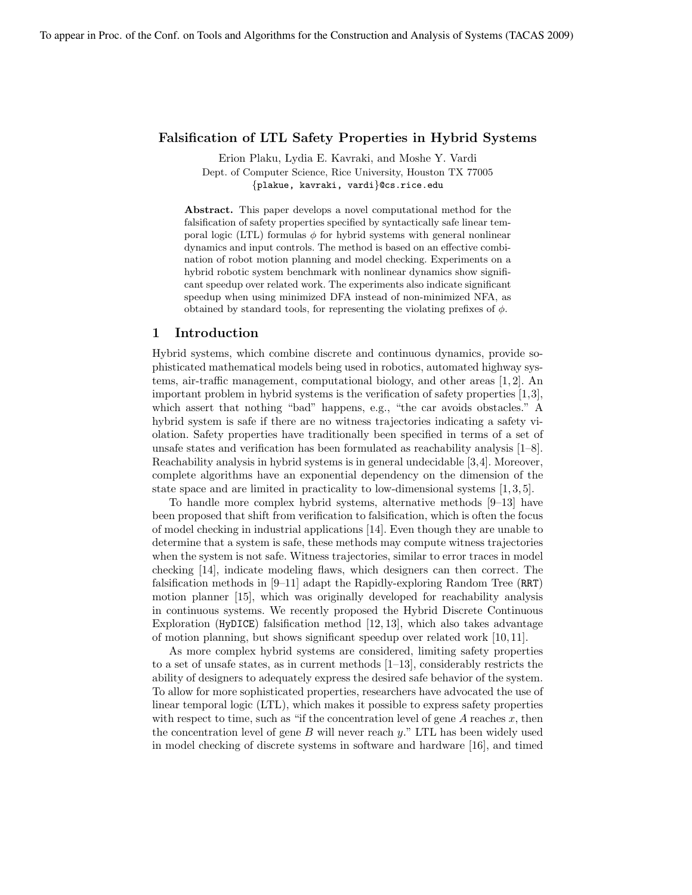#### Falsification of LTL Safety Properties in Hybrid Systems

Erion Plaku, Lydia E. Kavraki, and Moshe Y. Vardi Dept. of Computer Science, Rice University, Houston TX 77005 {plakue, kavraki, vardi}@cs.rice.edu

Abstract. This paper develops a novel computational method for the falsification of safety properties specified by syntactically safe linear temporal logic (LTL) formulas  $\phi$  for hybrid systems with general nonlinear dynamics and input controls. The method is based on an effective combination of robot motion planning and model checking. Experiments on a hybrid robotic system benchmark with nonlinear dynamics show significant speedup over related work. The experiments also indicate significant speedup when using minimized DFA instead of non-minimized NFA, as obtained by standard tools, for representing the violating prefixes of  $\phi$ .

#### 1 Introduction

Hybrid systems, which combine discrete and continuous dynamics, provide sophisticated mathematical models being used in robotics, automated highway systems, air-traffic management, computational biology, and other areas [1, 2]. An important problem in hybrid systems is the verification of safety properties [1,3], which assert that nothing "bad" happens, e.g., "the car avoids obstacles." A hybrid system is safe if there are no witness trajectories indicating a safety violation. Safety properties have traditionally been specified in terms of a set of unsafe states and verification has been formulated as reachability analysis [1–8]. Reachability analysis in hybrid systems is in general undecidable [3,4]. Moreover, complete algorithms have an exponential dependency on the dimension of the state space and are limited in practicality to low-dimensional systems [1, 3, 5].

To handle more complex hybrid systems, alternative methods [9–13] have been proposed that shift from verification to falsification, which is often the focus of model checking in industrial applications [14]. Even though they are unable to determine that a system is safe, these methods may compute witness trajectories when the system is not safe. Witness trajectories, similar to error traces in model checking [14], indicate modeling flaws, which designers can then correct. The falsification methods in [9–11] adapt the Rapidly-exploring Random Tree (RRT) motion planner [15], which was originally developed for reachability analysis in continuous systems. We recently proposed the Hybrid Discrete Continuous Exploration (HyDICE) falsification method [12, 13], which also takes advantage of motion planning, but shows significant speedup over related work [10, 11].

As more complex hybrid systems are considered, limiting safety properties to a set of unsafe states, as in current methods  $[1-13]$ , considerably restricts the ability of designers to adequately express the desired safe behavior of the system. To allow for more sophisticated properties, researchers have advocated the use of linear temporal logic (LTL), which makes it possible to express safety properties with respect to time, such as "if the concentration level of gene  $A$  reaches  $x$ , then the concentration level of gene  $B$  will never reach  $y$ ." LTL has been widely used in model checking of discrete systems in software and hardware [16], and timed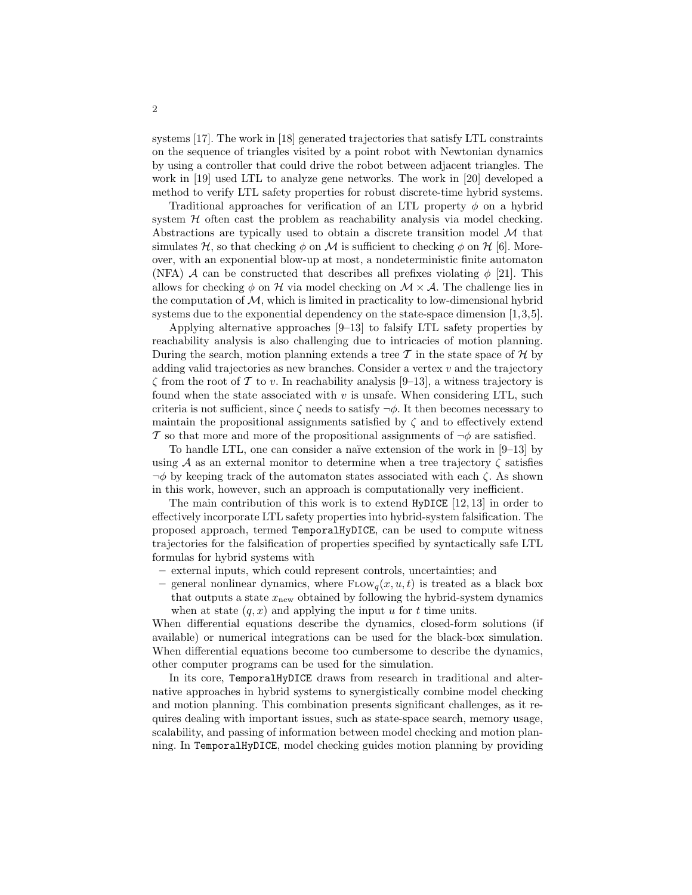systems [17]. The work in [18] generated trajectories that satisfy LTL constraints on the sequence of triangles visited by a point robot with Newtonian dynamics by using a controller that could drive the robot between adjacent triangles. The work in [19] used LTL to analyze gene networks. The work in [20] developed a method to verify LTL safety properties for robust discrete-time hybrid systems.

Traditional approaches for verification of an LTL property  $\phi$  on a hybrid system  $H$  often cast the problem as reachability analysis via model checking. Abstractions are typically used to obtain a discrete transition model  $\mathcal M$  that simulates H, so that checking  $\phi$  on M is sufficient to checking  $\phi$  on H [6]. Moreover, with an exponential blow-up at most, a nondeterministic finite automaton (NFA) A can be constructed that describes all prefixes violating  $\phi$  [21]. This allows for checking  $\phi$  on H via model checking on  $\mathcal{M} \times \mathcal{A}$ . The challenge lies in the computation of  $\mathcal{M}$ , which is limited in practicality to low-dimensional hybrid systems due to the exponential dependency on the state-space dimension [1,3,5].

Applying alternative approaches [9–13] to falsify LTL safety properties by reachability analysis is also challenging due to intricacies of motion planning. During the search, motion planning extends a tree  $\mathcal T$  in the state space of  $\mathcal H$  by adding valid trajectories as new branches. Consider a vertex  $v$  and the trajectory  $\zeta$  from the root of T to v. In reachability analysis [9–13], a witness trajectory is found when the state associated with  $v$  is unsafe. When considering LTL, such criteria is not sufficient, since  $\zeta$  needs to satisfy  $\neg \phi$ . It then becomes necessary to maintain the propositional assignments satisfied by  $\zeta$  and to effectively extend T so that more and more of the propositional assignments of  $\neg \phi$  are satisfied.

To handle LTL, one can consider a naïve extension of the work in  $[9-13]$  by using A as an external monitor to determine when a tree trajectory  $\zeta$  satisfies  $\neg \phi$  by keeping track of the automaton states associated with each  $\zeta$ . As shown in this work, however, such an approach is computationally very inefficient.

The main contribution of this work is to extend HyDICE [12, 13] in order to effectively incorporate LTL safety properties into hybrid-system falsification. The proposed approach, termed TemporalHyDICE, can be used to compute witness trajectories for the falsification of properties specified by syntactically safe LTL formulas for hybrid systems with

- external inputs, which could represent controls, uncertainties; and
- general nonlinear dynamics, where  $F_{\text{LOW}_q}(x, u, t)$  is treated as a black box that outputs a state  $x_{\text{new}}$  obtained by following the hybrid-system dynamics when at state  $(q, x)$  and applying the input u for t time units.

When differential equations describe the dynamics, closed-form solutions (if available) or numerical integrations can be used for the black-box simulation. When differential equations become too cumbersome to describe the dynamics, other computer programs can be used for the simulation.

In its core, TemporalHyDICE draws from research in traditional and alternative approaches in hybrid systems to synergistically combine model checking and motion planning. This combination presents significant challenges, as it requires dealing with important issues, such as state-space search, memory usage, scalability, and passing of information between model checking and motion planning. In TemporalHyDICE, model checking guides motion planning by providing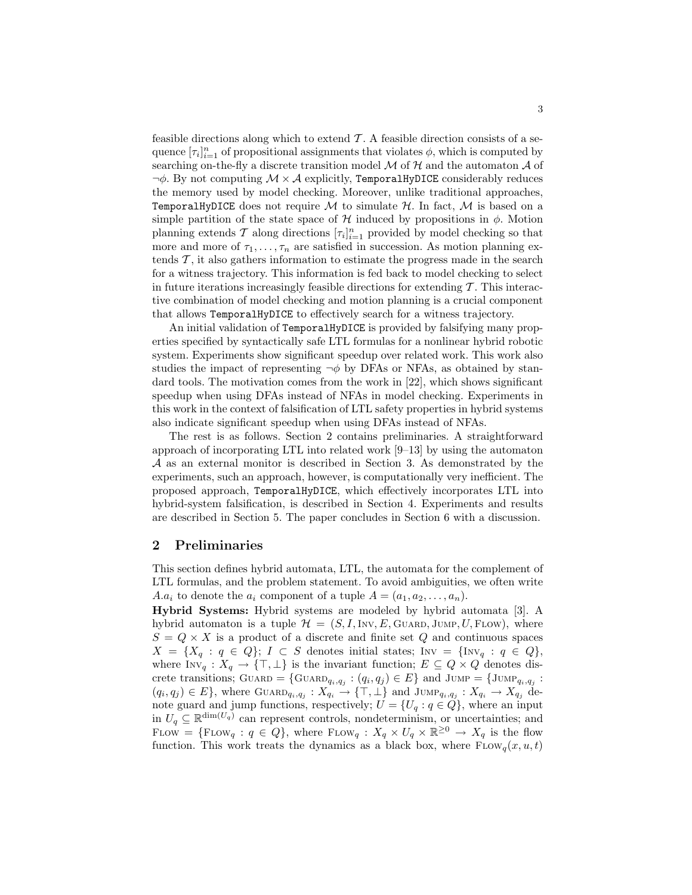feasible directions along which to extend  $\mathcal{T}$ . A feasible direction consists of a sequence  $[\tau_i]_{i=1}^n$  of propositional assignments that violates  $\phi$ , which is computed by searching on-the-fly a discrete transition model  $M$  of  $H$  and the automaton  $A$  of  $\neg \phi$ . By not computing  $\mathcal{M} \times \mathcal{A}$  explicitly, TemporalHyDICE considerably reduces the memory used by model checking. Moreover, unlike traditional approaches, TemporalHyDICE does not require  $M$  to simulate  $H$ . In fact,  $M$  is based on a simple partition of the state space of  $H$  induced by propositions in  $\phi$ . Motion planning extends  $\mathcal T$  along directions  $[\tau_i]_{i=1}^n$  provided by model checking so that more and more of  $\tau_1, \ldots, \tau_n$  are satisfied in succession. As motion planning extends  $\mathcal{T}$ , it also gathers information to estimate the progress made in the search for a witness trajectory. This information is fed back to model checking to select in future iterations increasingly feasible directions for extending  $\mathcal T$ . This interactive combination of model checking and motion planning is a crucial component that allows TemporalHyDICE to effectively search for a witness trajectory.

An initial validation of TemporalHyDICE is provided by falsifying many properties specified by syntactically safe LTL formulas for a nonlinear hybrid robotic system. Experiments show significant speedup over related work. This work also studies the impact of representing  $\neg \phi$  by DFAs or NFAs, as obtained by standard tools. The motivation comes from the work in [22], which shows significant speedup when using DFAs instead of NFAs in model checking. Experiments in this work in the context of falsification of LTL safety properties in hybrid systems also indicate significant speedup when using DFAs instead of NFAs.

The rest is as follows. Section 2 contains preliminaries. A straightforward approach of incorporating LTL into related work [9–13] by using the automaton A as an external monitor is described in Section 3. As demonstrated by the experiments, such an approach, however, is computationally very inefficient. The proposed approach, TemporalHyDICE, which effectively incorporates LTL into hybrid-system falsification, is described in Section 4. Experiments and results are described in Section 5. The paper concludes in Section 6 with a discussion.

## 2 Preliminaries

This section defines hybrid automata, LTL, the automata for the complement of LTL formulas, and the problem statement. To avoid ambiguities, we often write A.a<sub>i</sub> to denote the  $a_i$  component of a tuple  $A = (a_1, a_2, \ldots, a_n)$ .

Hybrid Systems: Hybrid systems are modeled by hybrid automata [3]. A hybrid automaton is a tuple  $\mathcal{H} = (S, I, Inv, E, GuARD, JUMP, U, Flow)$ , where  $S = Q \times X$  is a product of a discrete and finite set Q and continuous spaces  $X = \{X_q : q \in Q\}; I \subset S$  denotes initial states; Inv =  $\{I \in \mathcal{Q}\},$ where  $\text{Inv}_q: X_q \to {\text{T}, \perp}$  is the invariant function;  $E \subseteq Q \times Q$  denotes discrete transitions;  $G \text{UARD} = \{G \text{UARD}_{q_i,q_j} : (q_i, q_j) \in E\}$  and  $\text{JUMP} = \{\text{JUMP}_{q_i,q_j} : (q_i, q_j) \in E\}$  $(q_i, q_j) \in E$ , where  $\text{GuARD}_{q_i, q_j}: X_{q_i} \to {\text{T}, \perp}$  and  $\text{Jump}_{q_i, q_j}: X_{q_i} \to X_{q_j}$  denote guard and jump functions, respectively;  $U = \{U_q : q \in Q\}$ , where an input in  $U_q \subseteq \mathbb{R}^{\dim(U_q)}$  can represent controls, nondeterminism, or uncertainties; and FLOW = {FLOW<sub>q</sub> :  $q \in Q$ }, where FLOW<sub>q</sub> :  $X_q \times U_q \times \mathbb{R}^{\geq 0} \to X_q$  is the flow function. This work treats the dynamics as a black box, where  $Flow_q(x, u, t)$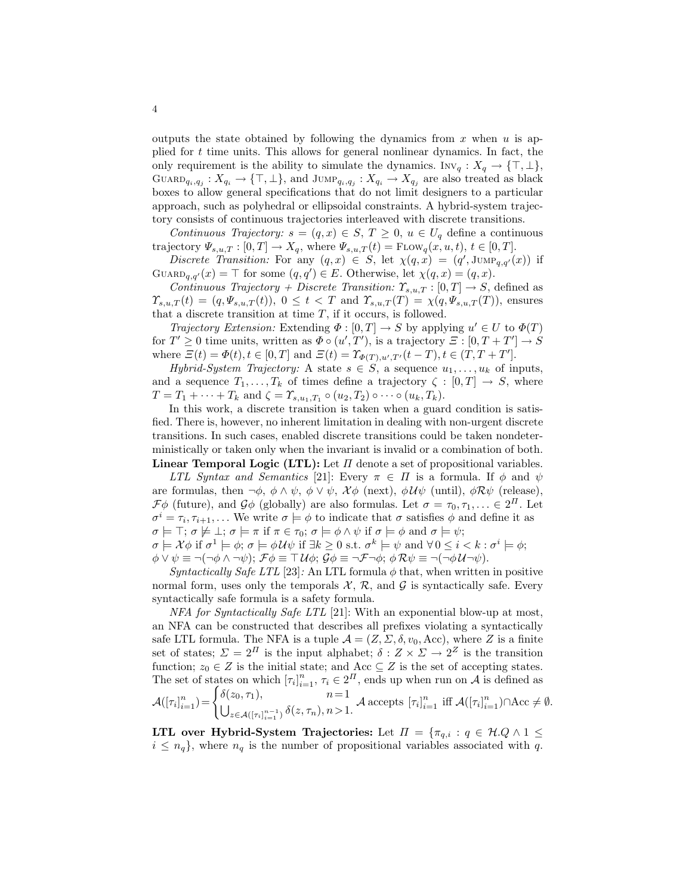outputs the state obtained by following the dynamics from x when u is applied for t time units. This allows for general nonlinear dynamics. In fact, the only requirement is the ability to simulate the dynamics. Inv<sub>q</sub> :  $X_q \to \{\top, \bot\},$  $\text{GuARD}_{q_i,q_j}: X_{q_i} \to {\{\top, \bot\}}$ , and  $\text{Jump}_{q_i,q_j}: X_{q_i} \to X_{q_j}$  are also treated as black boxes to allow general specifications that do not limit designers to a particular approach, such as polyhedral or ellipsoidal constraints. A hybrid-system trajectory consists of continuous trajectories interleaved with discrete transitions.

Continuous Trajectory:  $s = (q, x) \in S$ ,  $T \geq 0$ ,  $u \in U_q$  define a continuous trajectory  $\Psi_{s,u,T} : [0,T] \to X_q$ , where  $\Psi_{s,u,T}(t) = \text{Flow}_q(x,u,t), t \in [0,T]$ .

Discrete Transition: For any  $(q, x) \in S$ , let  $\chi(q, x) = (q', \text{Jump}_{q,q'}(x))$  if  $G \text{UARD}_{q,q'}(x) = \top$  for some  $(q,q') \in E$ . Otherwise, let  $\chi(q,x) = (q,x)$ .

Continuous Trajectory + Discrete Transition:  $\Upsilon_{s,u,T} : [0,T] \to S$ , defined as  $\Upsilon_{s,u,T}(t) = (q, \Psi_{s,u,T}(t)), 0 \leq t < T$  and  $\Upsilon_{s,u,T}(T) = \chi(q, \Psi_{s,u,T}(T)),$  ensures that a discrete transition at time  $T$ , if it occurs, is followed.

*Trajectory Extension:* Extending  $\Phi : [0, T] \to S$  by applying  $u' \in U$  to  $\Phi(T)$ for  $T' \ge 0$  time units, written as  $\Phi \circ (u', T')$ , is a trajectory  $\Xi : [0, T + T'] \to S$ where  $\Xi(t) = \Phi(t), t \in [0, T]$  and  $\Xi(t) = \Upsilon_{\Phi(T), u', T'}(t - T), t \in (T, T + T']$ .

Hybrid-System Trajectory: A state  $s \in S$ , a sequence  $u_1, \ldots, u_k$  of inputs, and a sequence  $T_1, \ldots, T_k$  of times define a trajectory  $\zeta : [0, T] \to S$ , where  $T = T_1 + \cdots + T_k$  and  $\zeta = \Upsilon_{s,u_1,T_1} \circ (u_2,T_2) \circ \cdots \circ (u_k,T_k)$ .

In this work, a discrete transition is taken when a guard condition is satisfied. There is, however, no inherent limitation in dealing with non-urgent discrete transitions. In such cases, enabled discrete transitions could be taken nondeterministically or taken only when the invariant is invalid or a combination of both. Linear Temporal Logic (LTL): Let  $\Pi$  denote a set of propositional variables.

LTL Syntax and Semantics [21]: Every  $\pi \in \Pi$  is a formula. If  $\phi$  and  $\psi$ are formulas, then  $\neg \phi$ ,  $\phi \wedge \psi$ ,  $\phi \vee \psi$ ,  $\chi \phi$  (next),  $\phi \mathcal{U} \psi$  (until),  $\phi \mathcal{R} \psi$  (release),  $\mathcal{F}\phi$  (future), and  $\mathcal{G}\phi$  (globally) are also formulas. Let  $\sigma = \tau_0, \tau_1, \ldots \in 2^{\Pi}$ . Let  $\sigma^i = \tau_i, \tau_{i+1}, \ldots$  We write  $\sigma \models \phi$  to indicate that  $\sigma$  satisfies  $\phi$  and define it as  $\sigma \models \top; \sigma \not\models \bot; \sigma \models \pi \text{ if } \pi \in \tau_0; \sigma \models \phi \land \psi \text{ if } \sigma \models \phi \text{ and } \sigma \models \psi;$ 

 $\sigma \models \mathcal{X}\phi \text{ if } \sigma^1 \models \phi; \sigma \models \phi\mathcal{U}\psi \text{ if } \exists k \geq 0 \text{ s.t. } \sigma^k \models \psi \text{ and } \forall 0 \leq i < k : \sigma^i \models \phi;$  $\phi \vee \psi \equiv \neg(\neg \phi \wedge \neg \psi); \mathcal{F}\phi \equiv \top \mathcal{U}\phi; \mathcal{G}\phi \equiv \neg \mathcal{F}\neg \phi; \phi \mathcal{R}\psi \equiv \neg(\neg \phi \mathcal{U}\neg \psi).$ 

Syntactically Safe LTL [23]: An LTL formula  $\phi$  that, when written in positive normal form, uses only the temporals  $\mathcal{X}, \mathcal{R}$ , and  $\mathcal{G}$  is syntactically safe. Every syntactically safe formula is a safety formula.

NFA for Syntactically Safe LTL [21]: With an exponential blow-up at most, an NFA can be constructed that describes all prefixes violating a syntactically safe LTL formula. The NFA is a tuple  $\mathcal{A} = (Z, \Sigma, \delta, v_0, \text{Acc})$ , where Z is a finite set of states;  $\Sigma = 2^{\Pi}$  is the input alphabet;  $\delta : Z \times \Sigma \to 2^{\mathbb{Z}}$  is the transition function;  $z_0 \in Z$  is the initial state; and Acc  $\subseteq Z$  is the set of accepting states. The set of states on which  $[\tau_i]_{i=1}^n$ ,  $\tau_i \in 2^{\Pi}$ , ends up when run on A is defined as  $\mathcal{A}(\left[ \tau_i \right]_{i=1}^n$  $\binom{n}{i=1} = \begin{cases} \delta(z_0, \tau_1), & n=1 \\ 1 & \delta(z_0, \tau_1) \end{cases}$  $U_{z \in \mathcal{A}([\tau_i]_{i=1}^{n-1})}$ δ(z, τ<sub>n</sub>), n > 1. A accepts  $[\tau_i]_{i=1}^n$  iff  $\mathcal{A}([\tau_i]_{i=1}^n) \cap \text{Acc} \neq \emptyset$ .

LTL over Hybrid-System Trajectories: Let  $\Pi = {\pi_{q,i} : q \in \mathcal{H}.Q \wedge 1 \leq \mathcal{H}.\mathcal{A}}$  $i \leq n_q$ , where  $n_q$  is the number of propositional variables associated with q.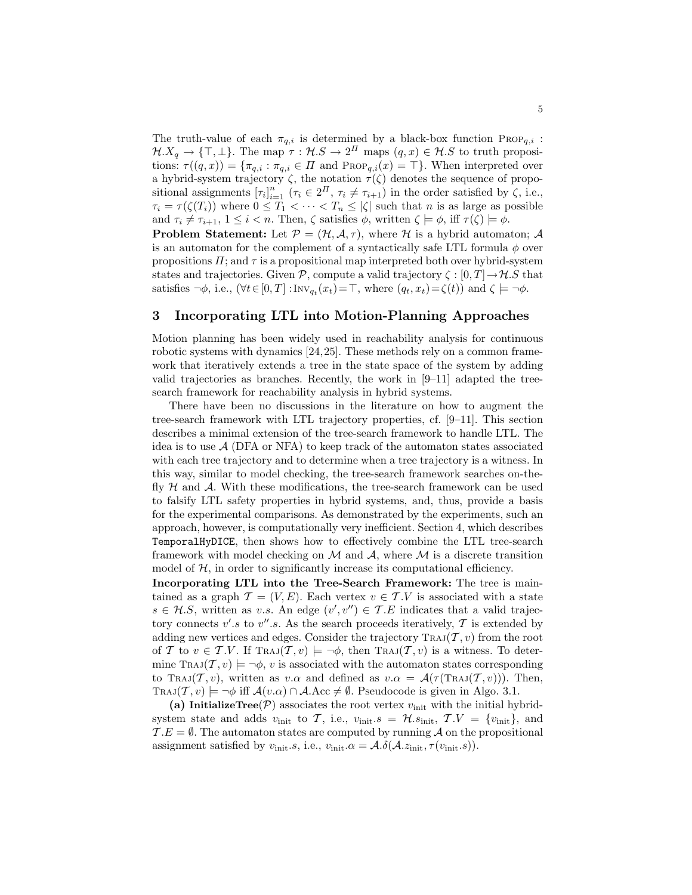The truth-value of each  $\pi_{q,i}$  is determined by a black-box function Prop<sub>q,i</sub>:  $\mathcal{H}.X_q \to \{\top, \bot\}$ . The map  $\tau : \mathcal{H}.S \to 2^{\Pi}$  maps  $(q, x) \in \mathcal{H}.S$  to truth propositions:  $\tau((q, x)) = {\pi_{q,i} : \pi_{q,i} \in \Pi \text{ and } \text{Prop}_{q,i}(x) = \top}.$  When interpreted over a hybrid-system trajectory  $\zeta$ , the notation  $\tau(\zeta)$  denotes the sequence of propositional assignments  $[\tau_i]_{i=1}^n$   $(\tau_i \in 2^{\Pi}, \tau_i \neq \tau_{i+1})$  in the order satisfied by  $\zeta$ , i.e.,  $\tau_i = \tau(\zeta(T_i))$  where  $0 \leq T_1 < \cdots < T_n \leq |\zeta|$  such that n is as large as possible and  $\tau_i \neq \tau_{i+1}, 1 \leq i < n$ . Then,  $\zeta$  satisfies  $\phi$ , written  $\zeta \models \phi$ , iff  $\tau(\zeta) \models \phi$ .

**Problem Statement:** Let  $P = (\mathcal{H}, \mathcal{A}, \tau)$ , where  $\mathcal{H}$  is a hybrid automaton; A is an automaton for the complement of a syntactically safe LTL formula  $\phi$  over propositions  $\Pi$ ; and  $\tau$  is a propositional map interpreted both over hybrid-system states and trajectories. Given P, compute a valid trajectory  $\zeta : [0, T] \to \mathcal{H}$ . S that satisfies  $\neg \phi$ , i.e.,  $(\forall t \in [0, T] : \text{Inv}_{q_t}(x_t) = \top$ , where  $(q_t, x_t) = \zeta(t)$  and  $\zeta \models \neg \phi$ .

## 3 Incorporating LTL into Motion-Planning Approaches

Motion planning has been widely used in reachability analysis for continuous robotic systems with dynamics [24,25]. These methods rely on a common framework that iteratively extends a tree in the state space of the system by adding valid trajectories as branches. Recently, the work in [9–11] adapted the treesearch framework for reachability analysis in hybrid systems.

There have been no discussions in the literature on how to augment the tree-search framework with LTL trajectory properties, cf. [9–11]. This section describes a minimal extension of the tree-search framework to handle LTL. The idea is to use  $\mathcal{A}$  (DFA or NFA) to keep track of the automaton states associated with each tree trajectory and to determine when a tree trajectory is a witness. In this way, similar to model checking, the tree-search framework searches on-thefly  $H$  and  $A$ . With these modifications, the tree-search framework can be used to falsify LTL safety properties in hybrid systems, and, thus, provide a basis for the experimental comparisons. As demonstrated by the experiments, such an approach, however, is computationally very inefficient. Section 4, which describes TemporalHyDICE, then shows how to effectively combine the LTL tree-search framework with model checking on  $\mathcal M$  and  $\mathcal A$ , where  $\mathcal M$  is a discrete transition model of  $H$ , in order to significantly increase its computational efficiency.

Incorporating LTL into the Tree-Search Framework: The tree is maintained as a graph  $\mathcal{T} = (V, E)$ . Each vertex  $v \in \mathcal{T}.V$  is associated with a state  $s \in \mathcal{H}.S$ , written as v.s. An edge  $(v', v'') \in \mathcal{T}.E$  indicates that a valid trajectory connects v's to v''s. As the search proceeds iteratively,  $\mathcal{T}$  is extended by adding new vertices and edges. Consider the trajectory  $\text{Traj}(\mathcal{T}, v)$  from the root of T to  $v \in T.V$ . If TRAJ $(T, v) \models \neg \phi$ , then TRAJ $(T, v)$  is a witness. To determine TRAJ $(T, v) \models \neg \phi$ , v is associated with the automaton states corresponding to Traj $(\mathcal{T}, v)$ , written as v. $\alpha$  and defined as  $v.\alpha = \mathcal{A}(\tau(\text{Traj}(\mathcal{T}, v)))$ . Then, TRAJ $(T, v) \models \neg \phi$  iff  $\mathcal{A}(v, \alpha) \cap \mathcal{A}$ . Acc  $\neq \emptyset$ . Pseudocode is given in Algo. 3.1.

(a) InitializeTree( $\mathcal{P}$ ) associates the root vertex  $v_{\text{init}}$  with the initial hybridsystem state and adds  $v_{\text{init}}$  to T, i.e.,  $v_{\text{init}}.s = \mathcal{H}.s_{\text{init}}$ ,  $\mathcal{T}.V = \{v_{\text{init}}\}$ , and  $\mathcal{T} \cdot E = \emptyset$ . The automaton states are computed by running A on the propositional assignment satisfied by  $v_{\text{init}}.s$ , i.e.,  $v_{\text{init}}.\alpha = \mathcal{A}.\delta(\mathcal{A}.z_{\text{init}}, \tau(v_{\text{init}}.s)).$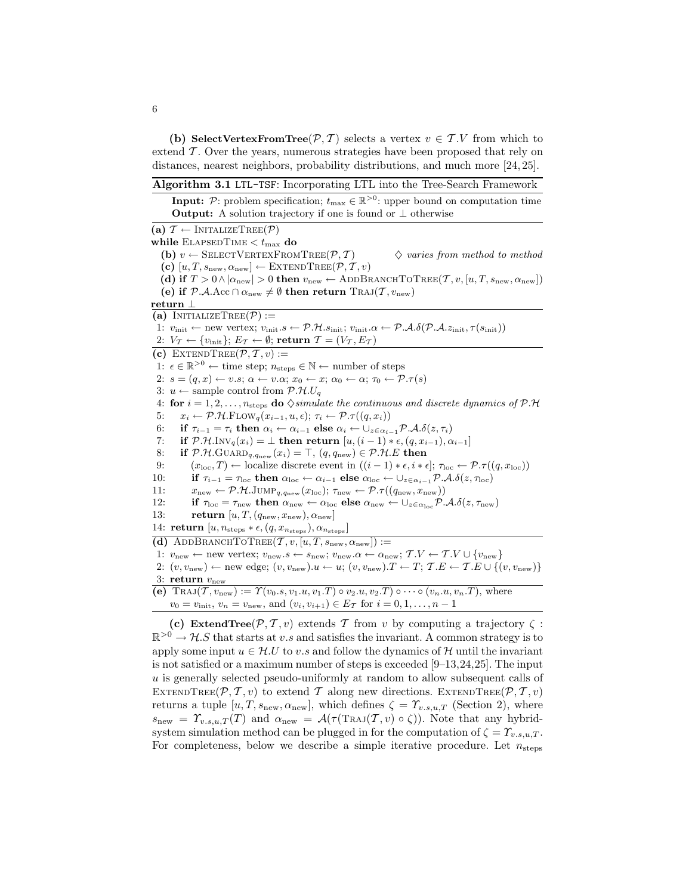(b) SelectVertexFromTree( $P, T$ ) selects a vertex  $v \in T$ . If from which to extend  $\mathcal T$ . Over the years, numerous strategies have been proposed that rely on distances, nearest neighbors, probability distributions, and much more [24, 25].

Algorithm 3.1 LTL-TSF: Incorporating LTL into the Tree-Search Framework

**Input:**  $P$ : problem specification;  $t_{\text{max}} \in \mathbb{R}^{>0}$ : upper bound on computation time Output: A solution trajectory if one is found or ⊥ otherwise (a)  $\mathcal{T} \leftarrow \text{INITALIZETree}(\mathcal{P})$ while  $\rm ELAPSEDTIME <  $t_{\rm max}$  do$ (b)  $v \leftarrow$  SELECTVERTEXFROMTREE(P, T)  $\Diamond$  varies from method to method (c)  $[u, T, s_{\text{new}}, \alpha_{\text{new}}] \leftarrow \text{EXTENDTREE}(\mathcal{P}, \mathcal{T}, v)$ (d) if  $T > 0 \wedge |\alpha_{\text{new}}| > 0$  then  $v_{\text{new}} \leftarrow \text{ADDBRANCHTOTREE}(\mathcal{T}, v, [u, T, s_{\text{new}}, \alpha_{\text{new}}])$ (e) if  $\mathcal{P}.\mathcal{A}.\text{Acc} \cap \alpha_{\text{new}} \neq \emptyset$  then return  $\text{Traj}(\mathcal{T}, v_{\text{new}})$ return ⊥ (a) INITIALIZETREE( $P$ ) := 1:  $v_{\text{init}} \leftarrow \text{new vertex}; v_{\text{init}}. s \leftarrow \mathcal{P}.\mathcal{H}.s_{\text{init}}; v_{\text{init}}.\alpha \leftarrow \mathcal{P}.\mathcal{A}.\delta(\mathcal{P}.\mathcal{A}.z_{\text{init}}, \tau(s_{\text{init}}))$ 2:  $V_T \leftarrow \{v_{\text{init}}\}; E_T \leftarrow \emptyset; \text{return } T = (V_T, E_T)$ (c) EXTENDTREE( $\mathcal{P}, \mathcal{T}, v$ ) := 1:  $\epsilon \in \mathbb{R}^{>0}$  ← time step;  $n_{\text{steps}} \in \mathbb{N}$  ← number of steps 2:  $s = (q, x) \leftarrow v.s; \ \alpha \leftarrow v.\alpha; \ x_0 \leftarrow x; \ \alpha_0 \leftarrow \alpha; \ \tau_0 \leftarrow \mathcal{P}.\tau(s)$ 3:  $u \leftarrow$  sample control from  $\mathcal{P}.\mathcal{H}.U_q$ 4: for  $i = 1, 2, ..., n_{steps}$  do  $\Diamond$ *simulate the continuous and discrete dynamics of P.H*<br>5:  $x_i \leftarrow \mathcal{P}.\mathcal{H}.\text{Flow}_q(x_{i-1}, u, \epsilon); \ \tau_i \leftarrow \mathcal{P}.\tau((q, x_i))$ 5:  $x_i \leftarrow \mathcal{P} \cdot \mathcal{H} \cdot \text{FLOW}_q(x_{i-1}, u, \epsilon); \ \tau_i \leftarrow \mathcal{P} \cdot \mathcal{T}((q, x_i))$ <br>6: **if**  $\tau_{i-1} = \tau_i$  **then**  $\alpha_i \leftarrow \alpha_{i-1}$  **else**  $\alpha_i \leftarrow \bigcup_{z \in \alpha_i}$ 6: if  $\tau_{i-1} = \tau_i$  then  $\alpha_i \leftarrow \alpha_{i-1}$  else  $\alpha_i \leftarrow \bigcup_{z \in \alpha_{i-1}} \mathcal{P.A.} \delta(z, \tau_i)$ <br>7: if  $\mathcal{P.A.} \text{Inv}_q(x_i) = \bot$  then return  $[u, (i-1) * \epsilon, (q, x_{i-1}), \alpha]$ 7: if  $\mathcal{P}.\mathcal{H}.\text{Inv}_q(x_i) = \bot$  then return  $[u, (i-1) * \epsilon, (q, x_{i-1}), \alpha_{i-1}]$ <br>8: if  $\mathcal{P}.\mathcal{H}.\text{GuARD}_{q,\text{gnew}}(x_i) = \top$ ,  $(q, q_{\text{new}}) \in \mathcal{P}.\mathcal{H}.\text{E}$  then 8: if  $\mathcal{P}.\mathcal{H}.\text{GUARD}_{q,q_{\text{new}}}(x_i) = \top$ ,  $(q, q_{\text{new}}) \in \mathcal{P}.\mathcal{H}.E$  then<br>9:  $(x_{\text{loc}}, T) \leftarrow \text{localize discrete event in } ((i-1) * \epsilon, i * \epsilon)$ 9:  $(x_{\text{loc}}, T) \leftarrow$  localize discrete event in  $((i - 1) * \epsilon, i * \epsilon]$ ;  $\tau_{\text{loc}} \leftarrow \mathcal{P} \cdot \tau((q, x_{\text{loc}}))$ <br>10: **if**  $\tau_{i-1} = \tau_{\text{loc}}$  then  $\alpha_{\text{loc}} \leftarrow \alpha_{i-1}$  else  $\alpha_{\text{loc}} \leftarrow \bigcup_{\epsilon \in \alpha_{i-1}} \mathcal{P} \cdot A \cdot \delta(z, \tau_{\text{loc}})$ 10: **if**  $\tau_{i-1} = \tau_{\text{loc}}$  then  $\alpha_{\text{loc}} \leftarrow \alpha_{i-1}$  else  $\alpha_{\text{loc}} \leftarrow \bigcup_{z \in \alpha_{i-1}} \mathcal{P} \cdot A \cdot \delta(z, \tau_{\text{loc}})$ <br>11.  $\tau_{\text{new}} \leftarrow \mathcal{P} \mathcal{H} \cdot \text{IUMP}_{\text{max}}$  (The);  $\tau_{\text{new}} \leftarrow \mathcal{P} \tau((a_{\text{new}} \tau_{\text{new}}))$ 11:  $x_{\text{new}} \leftarrow \mathcal{P}.\mathcal{H}.\text{JUMP}_{q,q_{\text{new}}}(x_{\text{loc}}); \tau_{\text{new}} \leftarrow \mathcal{P}.\tau((q_{\text{new}}, x_{\text{new}}))$ <br>
12: if  $\tau_{\text{loc}} = \tau_{\text{new}}$  then  $\alpha_{\text{new}} \leftarrow \alpha_{\text{loc}}$  else  $\alpha_{\text{new}} \leftarrow \cup_{\text{new}} \mathcal{P}.\tau$ 12: if  $\tau_{\text{loc}} = \tau_{\text{new}}$  then  $\alpha_{\text{new}} \leftarrow \alpha_{\text{loc}}$  else  $\alpha_{\text{new}} \leftarrow \cup_{z \in \alpha_{\text{loc}}} P.A.\delta(z, \tau_{\text{new}})$ <br>13: return  $[u, T, (q_{\text{new}}, x_{\text{new}}), \alpha_{\text{new}}]$ return  $[u, T, (q_{\text{new}}, x_{\text{new}}), \alpha_{\text{new}}]$ 14: return  $[u, n_{\text{steps}} * \epsilon, (q, x_{n_{\text{steps}}}), \alpha_{n_{\text{steps}}}]$ (d) ADDBRANCHTOTREE $(T, v, [u, T, s_{\text{new}}, \alpha_{\text{new}}]) :=$ 1:  $v_{\text{new}} \leftarrow \text{new vertex}; v_{\text{new}} \cdot s \leftarrow s_{\text{new}}; v_{\text{new}} \cdot \alpha \leftarrow \alpha_{\text{new}}; T \cdot V \leftarrow T \cdot V \cup \{v_{\text{new}}\}$ 2:  $(v, v_{\text{new}}) \leftarrow \text{new edge}; (v, v_{\text{new}}).u \leftarrow u; (v, v_{\text{new}}).T \leftarrow T; \mathcal{T}.E \leftarrow \mathcal{T}.E \cup \{(v, v_{\text{new}})\}$ 3: return  $v_{\text{new}}$ (e) TRAJ $(\mathcal{T}, v_{\text{new}}) := \Upsilon(v_0, s, v_1, u, v_1, T) \circ v_2, u, v_2, T \circ \cdots \circ (v_n, u, v_n, T),$  where  $v_0 = v_{\text{init}}, v_n = v_{\text{new}}, \text{ and } (v_i, v_{i+1}) \in E_{\mathcal{T}} \text{ for } i = 0, 1, \dots, n-1$ (c) ExtendTree( $P, T, v$ ) extends T from v by computing a trajectory  $\zeta$ :

 $\mathbb{R}^{>0} \to \mathcal{H}.S$  that starts at v.s and satisfies the invariant. A common strategy is to apply some input  $u \in \mathcal{H}.U$  to v.s and follow the dynamics of H until the invariant is not satisfied or a maximum number of steps is exceeded [9–13,24,25]. The input  $u$  is generally selected pseudo-uniformly at random to allow subsequent calls of EXTENDTREE( $\mathcal{P}, \mathcal{T}, v$ ) to extend T along new directions. EXTENDTREE( $\mathcal{P}, \mathcal{T}, v$ ) returns a tuple  $[u, T, s_{\text{new}}, \alpha_{\text{new}}]$ , which defines  $\zeta = \Upsilon_{v,s,u,T}$  (Section 2), where  $s_{\text{new}} = \Upsilon_{v,s,u,T}(T)$  and  $\alpha_{\text{new}} = \mathcal{A}(\tau(\text{Traj}(T,v) \circ \zeta)).$  Note that any hybridsystem simulation method can be plugged in for the computation of  $\zeta = \Upsilon_{v,s,u,T}$ . For completeness, below we describe a simple iterative procedure. Let  $n_{\text{steps}}$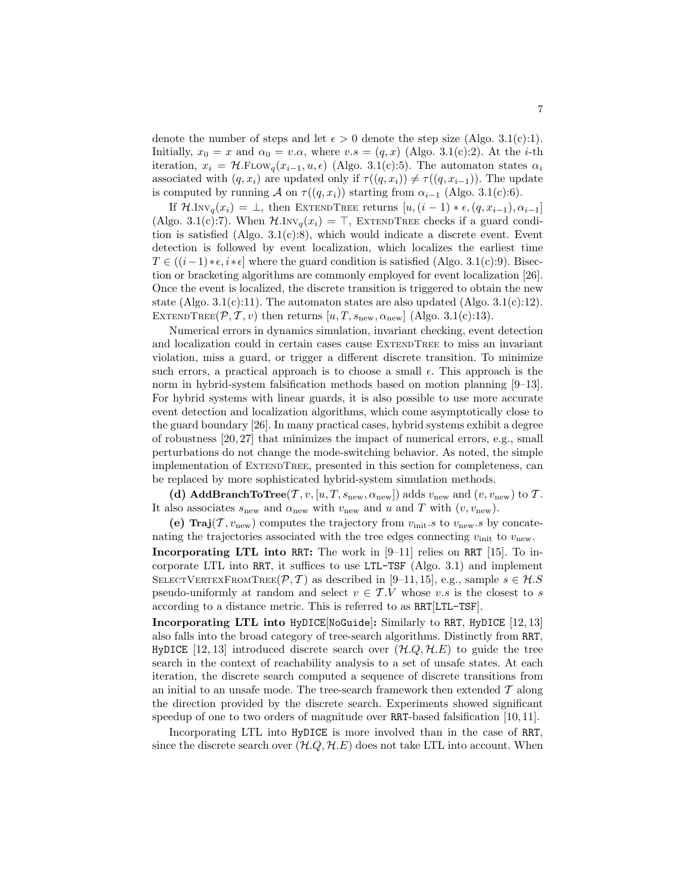denote the number of steps and let  $\epsilon > 0$  denote the step size (Algo. 3.1(c):1). Initially,  $x_0 = x$  and  $\alpha_0 = v.\alpha$ , where  $v.s = (q, x)$  (Algo. 3.1(c):2). At the *i*-th iteration,  $x_i = \mathcal{H}$ .FLOW<sub>q</sub>( $x_{i-1}, u, \epsilon$ ) (Algo. 3.1(c):5). The automaton states  $\alpha_i$ associated with  $(q, x_i)$  are updated only if  $\tau((q, x_i)) \neq \tau((q, x_{i-1}))$ . The update is computed by running A on  $\tau((q, x_i))$  starting from  $\alpha_{i-1}$  (Algo. 3.1(c):6).

If  $\mathcal{H}.\text{Inv}_q(x_i) = \bot$ , then EXTENDTREE returns  $[u,(i-1)*\epsilon,(q,x_{i-1}),\alpha_{i-1}]$ (Algo. 3.1(c):7). When  $\mathcal{H}.\text{Inv}_q(x_i) = \top$ , EXTENDTREE checks if a guard condition is satisfied (Algo. 3.1(c):8), which would indicate a discrete event. Event detection is followed by event localization, which localizes the earliest time  $T \in ((i-1)*\epsilon, i*\epsilon]$  where the guard condition is satisfied (Algo. 3.1(c):9). Bisection or bracketing algorithms are commonly employed for event localization [26]. Once the event is localized, the discrete transition is triggered to obtain the new state (Algo. 3.1(c):11). The automaton states are also updated (Algo. 3.1(c):12). EXTENDTREE( $\mathcal{P}, \mathcal{T}, v$ ) then returns  $[u, T, s_{\text{new}}, \alpha_{\text{new}}]$  (Algo. 3.1(c):13).

Numerical errors in dynamics simulation, invariant checking, event detection and localization could in certain cases cause ExtendTree to miss an invariant violation, miss a guard, or trigger a different discrete transition. To minimize such errors, a practical approach is to choose a small  $\epsilon$ . This approach is the norm in hybrid-system falsification methods based on motion planning [9–13]. For hybrid systems with linear guards, it is also possible to use more accurate event detection and localization algorithms, which come asymptotically close to the guard boundary [26]. In many practical cases, hybrid systems exhibit a degree of robustness [20, 27] that minimizes the impact of numerical errors, e.g., small perturbations do not change the mode-switching behavior. As noted, the simple implementation of ExtendTree, presented in this section for completeness, can be replaced by more sophisticated hybrid-system simulation methods.

(d) AddBranchToTree(T,  $v$ , [u, T,  $s_{\text{new}}, \alpha_{\text{new}}$ ]) adds  $v_{\text{new}}$  and  $(v, v_{\text{new}})$  to T. It also associates  $s_{\text{new}}$  and  $\alpha_{\text{new}}$  with  $v_{\text{new}}$  and u and T with  $(v, v_{\text{new}})$ .

(e) Traj $(\mathcal{T}, v_{\text{new}})$  computes the trajectory from  $v_{\text{init}}.s$  to  $v_{\text{new}}.s$  by concatenating the trajectories associated with the tree edges connecting  $v_{\text{init}}$  to  $v_{\text{new}}$ .

Incorporating LTL into RRT: The work in [9–11] relies on RRT [15]. To incorporate LTL into RRT, it suffices to use LTL-TSF (Algo. 3.1) and implement SELECTVERTEXFROMTREE( $P, T$ ) as described in [9–11, 15], e.g., sample  $s \in \mathcal{H}.S$ pseudo-uniformly at random and select  $v \in T.V$  whose v.s is the closest to s according to a distance metric. This is referred to as RRT[LTL-TSF].

Incorporating LTL into HyDICE[NoGuide]: Similarly to RRT, HyDICE [12, 13] also falls into the broad category of tree-search algorithms. Distinctly from RRT, HyDICE [12, 13] introduced discrete search over  $(\mathcal{H}.Q, \mathcal{H}.E)$  to guide the tree search in the context of reachability analysis to a set of unsafe states. At each iteration, the discrete search computed a sequence of discrete transitions from an initial to an unsafe mode. The tree-search framework then extended  $T$  along the direction provided by the discrete search. Experiments showed significant speedup of one to two orders of magnitude over RRT-based falsification [10, 11].

Incorporating LTL into HyDICE is more involved than in the case of RRT, since the discrete search over  $(H.Q, H.E)$  does not take LTL into account. When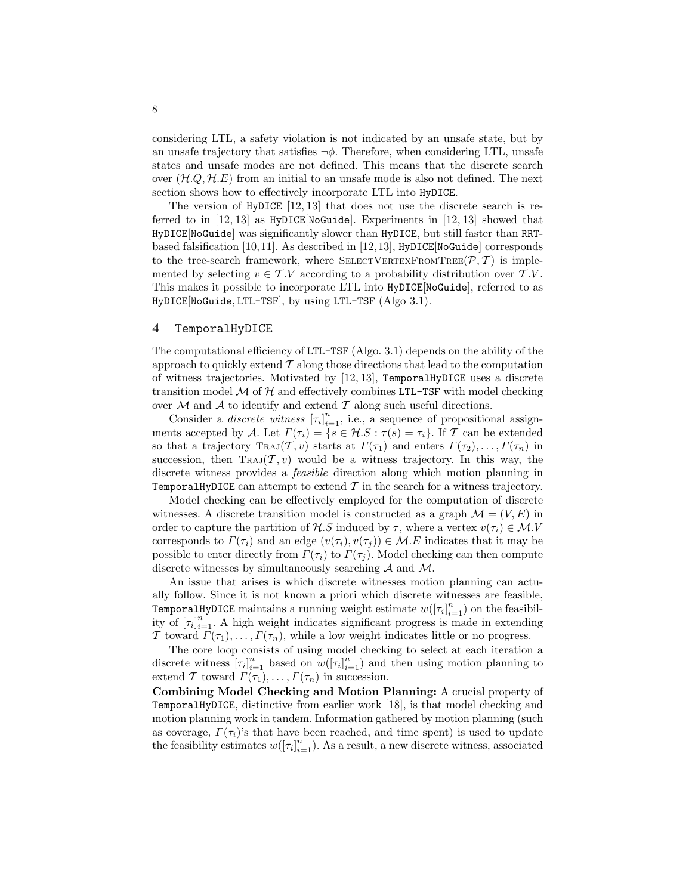considering LTL, a safety violation is not indicated by an unsafe state, but by an unsafe trajectory that satisfies  $\neg \phi$ . Therefore, when considering LTL, unsafe states and unsafe modes are not defined. This means that the discrete search over  $(\mathcal{H}, Q, \mathcal{H}, E)$  from an initial to an unsafe mode is also not defined. The next section shows how to effectively incorporate LTL into HyDICE.

The version of HyDICE  $[12, 13]$  that does not use the discrete search is referred to in  $[12, 13]$  as  $HyDICE[NoGuide]$ . Experiments in  $[12, 13]$  showed that HyDICE[NoGuide] was significantly slower than HyDICE, but still faster than RRTbased falsification [10,11]. As described in [12,13],  $HyDICE[NoGuide]$  corresponds to the tree-search framework, where SELECTVERTEXFROMTREE( $P, T$ ) is implemented by selecting  $v \in \mathcal{T}.V$  according to a probability distribution over  $\mathcal{T}.V$ . This makes it possible to incorporate LTL into HyDICE[NoGuide], referred to as HyDICE[NoGuide, LTL-TSF], by using LTL-TSF (Algo 3.1).

#### 4 TemporalHyDICE

The computational efficiency of LTL-TSF (Algo. 3.1) depends on the ability of the approach to quickly extend  $\mathcal T$  along those directions that lead to the computation of witness trajectories. Motivated by [12, 13], TemporalHyDICE uses a discrete transition model  $M$  of  $H$  and effectively combines LTL-TSF with model checking over  $M$  and  $A$  to identify and extend  $T$  along such useful directions.

Consider a *discrete witness*  $[\tau_i]_{i=1}^n$ , i.e., a sequence of propositional assignments accepted by A. Let  $\Gamma(\tau_i) = \{s \in \mathcal{H}.S : \tau(s) = \tau_i\}$ . If T can be extended so that a trajectory Traj $(T, v)$  starts at  $\Gamma(\tau_1)$  and enters  $\Gamma(\tau_2), \ldots, \Gamma(\tau_n)$  in succession, then  $\text{TraJ}(\mathcal{T}, v)$  would be a witness trajectory. In this way, the discrete witness provides a feasible direction along which motion planning in TemporalHyDICE can attempt to extend  $T$  in the search for a witness trajectory.

Model checking can be effectively employed for the computation of discrete witnesses. A discrete transition model is constructed as a graph  $\mathcal{M} = (V, E)$  in order to capture the partition of H.S induced by  $\tau$ , where a vertex  $v(\tau_i) \in \mathcal{M}.V$ corresponds to  $\Gamma(\tau_i)$  and an edge  $(v(\tau_i), v(\tau_j)) \in \mathcal{M}.E$  indicates that it may be possible to enter directly from  $\Gamma(\tau_i)$  to  $\Gamma(\tau_i)$ . Model checking can then compute discrete witnesses by simultaneously searching A and M.

An issue that arises is which discrete witnesses motion planning can actually follow. Since it is not known a priori which discrete witnesses are feasible, TemporalHyDICE maintains a running weight estimate  $w([\tau_i]_{i=1}^n)$  on the feasibility of  $[\tau_i]_{i=1}^n$ . A high weight indicates significant progress is made in extending T toward  $\Gamma(\tau_1), \ldots, \Gamma(\tau_n)$ , while a low weight indicates little or no progress.

The core loop consists of using model checking to select at each iteration a discrete witness  $[\tau_i]_{i=1}^n$  based on  $w([\tau_i]_{i=1}^n)$  and then using motion planning to extend T toward  $\Gamma(\tau_1), \ldots, \Gamma(\tau_n)$  in succession.

Combining Model Checking and Motion Planning: A crucial property of TemporalHyDICE, distinctive from earlier work [18], is that model checking and motion planning work in tandem. Information gathered by motion planning (such as coverage,  $\Gamma(\tau_i)$ 's that have been reached, and time spent) is used to update the feasibility estimates  $w([ \tau_i]_{i=1}^n)$ . As a result, a new discrete witness, associated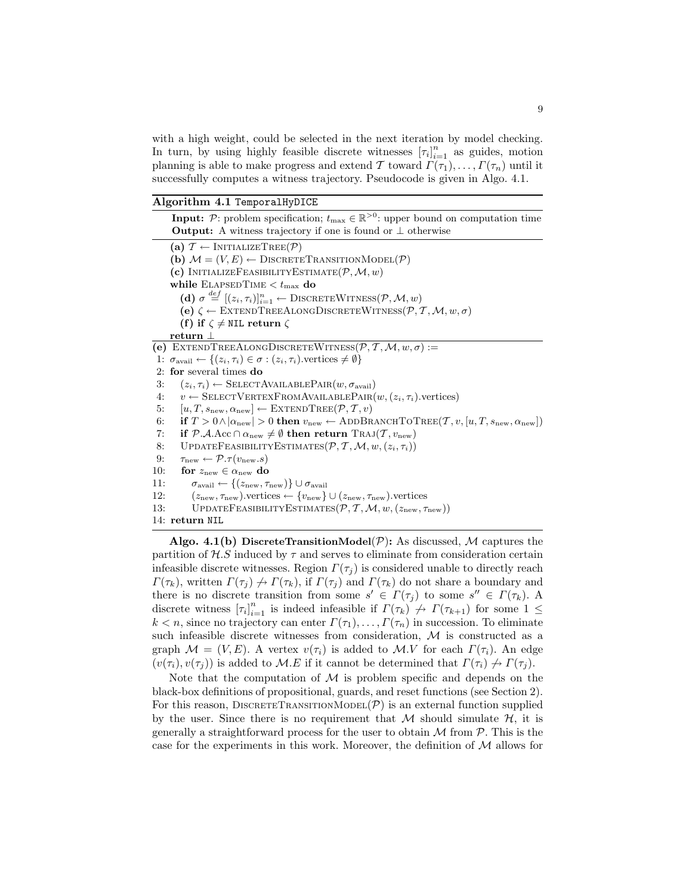with a high weight, could be selected in the next iteration by model checking. In turn, by using highly feasible discrete witnesses  $[\tau_i]_{i=1}^n$  as guides, motion planning is able to make progress and extend T toward  $\Gamma(\tau_1), \ldots, \Gamma(\tau_n)$  until it successfully computes a witness trajectory. Pseudocode is given in Algo. 4.1.

Algorithm 4.1 TemporalHyDICE

**Input:**  $P$ : problem specification;  $t_{\text{max}} \in \mathbb{R}^{>0}$ : upper bound on computation time Output: A witness trajectory if one is found or ⊥ otherwise (a)  $\mathcal{T} \leftarrow \text{INITIALIZETree}(\mathcal{P})$ (b)  $\mathcal{M} = (V, E) \leftarrow \text{DISCRETETRANSITIONMODEL}(\mathcal{P})$ (c) INITIALIZEFEASIBILITYESTIMATE $(\mathcal{P}, \mathcal{M}, w)$ while  $\textsc{ElaPSEDTime}\xspace < t_\text{max}$ do (d)  $\sigma \stackrel{def}{=} [(z_i, \tau_i)]_{i=1}^n \leftarrow \text{DISCRETEWITNESS}(\mathcal{P}, \mathcal{M}, w)$ (e)  $\zeta \leftarrow$  EXTENDTREEALONGDISCRETEWITNESS $(\mathcal{P}, \mathcal{T}, \mathcal{M}, w, \sigma)$ (f) if  $\zeta \neq \text{NIL return } \zeta$ return ⊥ (e) EXTENDTREEALONGDISCRETEWITNESS $(P, T, M, w, \sigma) :=$ 1:  $\sigma_{\text{avail}} \leftarrow \{(z_i, \tau_i) \in \sigma : (z_i, \tau_i)$ . vertices  $\neq \emptyset\}$ 2: for several times do 3:  $(z_i, \tau_i) \leftarrow \text{SELECTAVAILABLEPAR}(w, \sigma_{\text{avail}})$ <br>4:  $v \leftarrow \text{SELECTVERTEXFROMAVAILABLEPAR}(w)$ 4:  $v \leftarrow$  SELECTVERTEXFROMAVAILABLEPAIR $(w, (z_i, \tau_i)$ .vertices)<br>5:  $[u, T, s_{\text{new}}, \alpha_{\text{new}}] \leftarrow \text{EXTENDTREE}(\mathcal{P}, \mathcal{T}, v)$ 5:  $[u, T, s_{\text{new}}, \alpha_{\text{new}}] \leftarrow \text{EXTENDTREE}(\mathcal{P}, \mathcal{T}, v)$ <br>6: if  $T > 0 \wedge |\alpha_{\text{new}}| > 0$  then  $v_{\text{new}} \leftarrow \text{ADDBR}$ 6: if  $T > 0 \wedge |\alpha_{\text{new}}| > 0$  then  $v_{\text{new}} \leftarrow \text{ADDBRANCHTOTREE}(\mathcal{T}, v, [u, T, s_{\text{new}}, \alpha_{\text{new}}])$ <br>7: if  $\mathcal{P.A}$ . Acc  $\cap \alpha_{\text{new}} \neq \emptyset$  then return  $\text{TRAJ}(\mathcal{T}, v_{\text{new}})$ 7: if  $P.A.$ Acc  $\cap \alpha_{new} \neq \emptyset$  then return Traj $(T, v_{new})$ <br>8: UPDATEFEASIBILITYESTIMATES $(P, T, M, w, (z_i, \tau_i))$ 8: UPDATEFEASIBILITYESTIMATES $(\mathcal{P}, \mathcal{T}, \mathcal{M}, w, (z_i, \tau_i))$ <br>9:  $\tau_{\text{new}} \leftarrow \mathcal{P}.\tau(v_{\text{new}}.s)$ 9:  $\tau_{\text{new}} \leftarrow \mathcal{P}.\tau(v_{\text{new}}.s)$ <br>10: **for**  $z_{\text{new}} \in \alpha_{\text{new}}$  **do** 10: **for**  $z_{\text{new}} \in \alpha_{\text{new}}$  **do**<br>11:  $\sigma_{\text{avail}} \leftarrow \{(z_{\text{new}}, \tau)$ 11:  $\sigma_{\text{avail}} \leftarrow \{(z_{\text{new}}, \tau_{\text{new}})\} \cup \sigma_{\text{avail}}$ <br>
12:  $(z_{\text{new}}, \tau_{\text{new}})$ , vertices  $\leftarrow \{v_{\text{new}}\}$ 12:  $(z_{\text{new}}, \tau_{\text{new}})$ .vertices ←  $\{v_{\text{new}}, \mathcal{U}\}$   $\cup$   $(z_{\text{new}}, \tau_{\text{new}})$ .vertices <br>13: UPDATEFEASIBILITYESTIMATES ( $\mathcal{P}, \mathcal{T}, \mathcal{M}, w$ .  $(z_{\text{new}}, \tau)$ UPDATEFEASIBILITYESTIMATES $(\mathcal{P}, \mathcal{T}, \mathcal{M}, w, (z_{\text{new}}, \tau_{\text{new}}))$ 14: return NIL Algo. 4.1(b) DiscreteTransitionModel( $P$ ): As discussed, M captures the

partition of  $H.S$  induced by  $\tau$  and serves to eliminate from consideration certain infeasible discrete witnesses. Region  $\Gamma(\tau_i)$  is considered unable to directly reach  $\Gamma(\tau_k)$ , written  $\Gamma(\tau_j) \nrightarrow \Gamma(\tau_k)$ , if  $\Gamma(\tau_j)$  and  $\Gamma(\tau_k)$  do not share a boundary and there is no discrete transition from some  $s' \in \Gamma(\tau_j)$  to some  $s'' \in \Gamma(\tau_k)$ . A discrete witness  $[\tau_i]_{i=1}^n$  is indeed infeasible if  $\Gamma(\tau_k) \nrightarrow \Gamma(\tau_{k+1})$  for some  $1 \leq$  $k < n$ , since no trajectory can enter  $\Gamma(\tau_1), \ldots, \Gamma(\tau_n)$  in succession. To eliminate such infeasible discrete witnesses from consideration,  $M$  is constructed as a graph  $\mathcal{M} = (V, E)$ . A vertex  $v(\tau_i)$  is added to  $\mathcal{M}.V$  for each  $\Gamma(\tau_i)$ . An edge  $(v(\tau_i), v(\tau_j))$  is added to M.E if it cannot be determined that  $\Gamma(\tau_i) \nrightarrow \Gamma(\tau_j)$ .

Note that the computation of  $M$  is problem specific and depends on the black-box definitions of propositional, guards, and reset functions (see Section 2). For this reason, DISCRETETRANSITIONMODEL $(\mathcal{P})$  is an external function supplied by the user. Since there is no requirement that M should simulate  $H$ , it is generally a straightforward process for the user to obtain  $M$  from  $P$ . This is the case for the experiments in this work. Moreover, the definition of  $\mathcal M$  allows for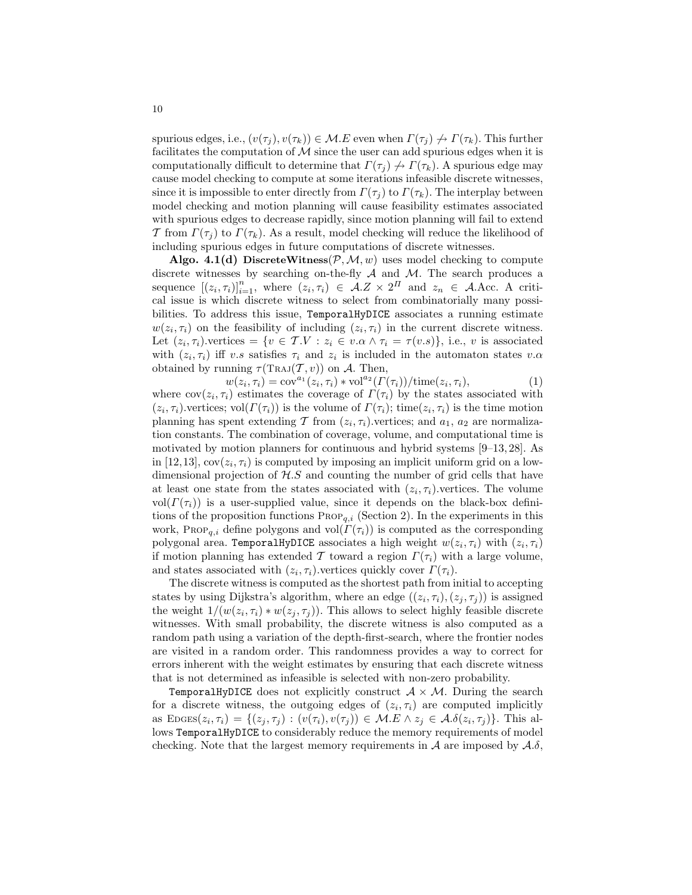spurious edges, i.e.,  $(v(\tau_i), v(\tau_k)) \in \mathcal{M}.E$  even when  $\Gamma(\tau_i) \nrightarrow \Gamma(\tau_k)$ . This further facilitates the computation of  $M$  since the user can add spurious edges when it is computationally difficult to determine that  $\Gamma(\tau_i) \nrightarrow \Gamma(\tau_k)$ . A spurious edge may cause model checking to compute at some iterations infeasible discrete witnesses, since it is impossible to enter directly from  $\Gamma(\tau_i)$  to  $\Gamma(\tau_k)$ . The interplay between model checking and motion planning will cause feasibility estimates associated with spurious edges to decrease rapidly, since motion planning will fail to extend T from  $\Gamma(\tau_i)$  to  $\Gamma(\tau_k)$ . As a result, model checking will reduce the likelihood of including spurious edges in future computations of discrete witnesses.

Algo. 4.1(d) DiscreteWitness( $P, M, w$ ) uses model checking to compute discrete witnesses by searching on-the-fly  $A$  and  $M$ . The search produces a sequence  $[(z_i, \tau_i)]_{i=1}^n$ , where  $(z_i, \tau_i) \in A.Z \times 2^{\Pi}$  and  $z_n \in A$ . Acc. A critical issue is which discrete witness to select from combinatorially many possibilities. To address this issue, TemporalHyDICE associates a running estimate  $w(z_i, \tau_i)$  on the feasibility of including  $(z_i, \tau_i)$  in the current discrete witness. Let  $(z_i, \tau_i)$  vertices =  $\{v \in \mathcal{T}.V : z_i \in v.\alpha \wedge \tau_i = \tau(v.s)\},$  i.e., v is associated with  $(z_i, \tau_i)$  iff v.s satisfies  $\tau_i$  and  $z_i$  is included in the automaton states v. $\alpha$ obtained by running  $\tau(\text{Traj}(T, v))$  on A. Then,

 $w(z_i, \tau_i) = \text{cov}^{a_1}(z_i, \tau_i) * \text{vol}^{a_2}(\Gamma(\tau_i)) / \text{time}(z_i, \tau_i),$  (1)

where  $cov(z_i, \tau_i)$  estimates the coverage of  $\Gamma(\tau_i)$  by the states associated with  $(z_i, \tau_i)$  vertices; vol $(\Gamma(\tau_i))$  is the volume of  $\Gamma(\tau_i)$ ; time $(z_i, \tau_i)$  is the time motion planning has spent extending T from  $(z_i, \tau_i)$  vertices; and  $a_1, a_2$  are normalization constants. The combination of coverage, volume, and computational time is motivated by motion planners for continuous and hybrid systems [9–13, 28]. As in [12,13],  $cov(z_i, \tau_i)$  is computed by imposing an implicit uniform grid on a lowdimensional projection of  $H.S$  and counting the number of grid cells that have at least one state from the states associated with  $(z_i, \tau_i)$ , vertices. The volume vol $(\Gamma(\tau_i))$  is a user-supplied value, since it depends on the black-box definitions of the proposition functions  $\text{ProP}_{q,i}$  (Section 2). In the experiments in this work, Prop<sub>a,i</sub> define polygons and vol $(\Gamma(\tau_i))$  is computed as the corresponding polygonal area. TemporalHyDICE associates a high weight  $w(z_i, \tau_i)$  with  $(z_i, \tau_i)$ if motion planning has extended T toward a region  $\Gamma(\tau_i)$  with a large volume, and states associated with  $(z_i, \tau_i)$ , vertices quickly cover  $\Gamma(\tau_i)$ .

The discrete witness is computed as the shortest path from initial to accepting states by using Dijkstra's algorithm, where an edge  $((z_i, \tau_i), (z_j, \tau_j))$  is assigned the weight  $1/(w(z_i, \tau_i) * w(z_j, \tau_j))$ . This allows to select highly feasible discrete witnesses. With small probability, the discrete witness is also computed as a random path using a variation of the depth-first-search, where the frontier nodes are visited in a random order. This randomness provides a way to correct for errors inherent with the weight estimates by ensuring that each discrete witness that is not determined as infeasible is selected with non-zero probability.

TemporalHyDICE does not explicitly construct  $A \times M$ . During the search for a discrete witness, the outgoing edges of  $(z_i, \tau_i)$  are computed implicitly as  $\text{EDGES}(z_i, \tau_i) = \{(z_j, \tau_j) : (v(\tau_i), v(\tau_j)) \in \mathcal{M}.E \land z_j \in \mathcal{A}.\delta(z_i, \tau_j)\}.$  This allows TemporalHyDICE to considerably reduce the memory requirements of model checking. Note that the largest memory requirements in  $A$  are imposed by  $A.\delta$ ,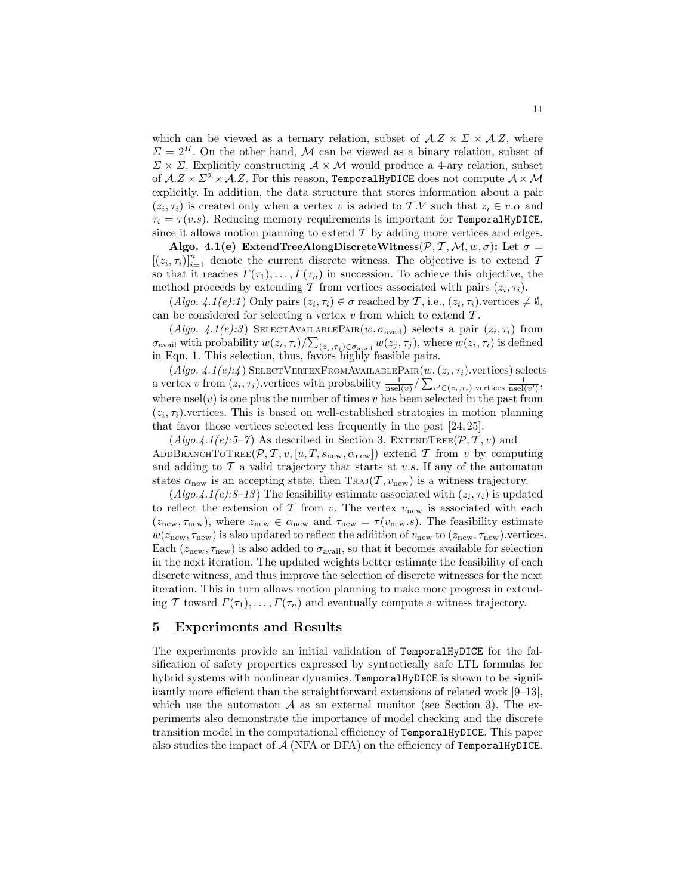which can be viewed as a ternary relation, subset of  $A.Z \times Z \times A.Z$ , where  $\Sigma = 2^{I}$ . On the other hand, M can be viewed as a binary relation, subset of  $\Sigma \times \Sigma$ . Explicitly constructing  $\mathcal{A} \times \mathcal{M}$  would produce a 4-ary relation, subset of  $A.Z \times \mathbb{Z}^2 \times A.Z$ . For this reason, TemporalHyDICE does not compute  $A \times \mathcal{M}$ explicitly. In addition, the data structure that stores information about a pair  $(z_i, \tau_i)$  is created only when a vertex v is added to T.V such that  $z_i \in v.\alpha$  and  $\tau_i = \tau(v.s)$ . Reducing memory requirements is important for TemporalHyDICE, since it allows motion planning to extend  $\mathcal T$  by adding more vertices and edges.

Algo. 4.1(e) ExtendTreeAlongDiscreteWitness $(\mathcal{P}, \mathcal{T}, \mathcal{M}, w, \sigma)$ : Let  $\sigma =$  $[(z_i, \tau_i)]_{i=1}^n$  denote the current discrete witness. The objective is to extend T so that it reaches  $\Gamma(\tau_1), \ldots, \Gamma(\tau_n)$  in succession. To achieve this objective, the method proceeds by extending T from vertices associated with pairs  $(z_i, \tau_i)$ .

 $(Algo. 4.1(e).1)$  Only pairs  $(z_i, \tau_i) \in \sigma$  reached by  $\mathcal{T}$ , i.e.,  $(z_i, \tau_i)$  vertices  $\neq \emptyset$ , can be considered for selecting a vertex  $v$  from which to extend  $\mathcal{T}$ .

(Algo. 4.1(e):3) SELECTAVAILABLEPAIR $(w, \sigma_{\text{avail}})$  selects a pair  $(z_i, \tau_i)$  from  $\sigma_{\text{avail}}$  with probability  $w(z_i, \tau_i) / \sum_{(z_j, \tau_j) \in \sigma_{\text{avail}}} w(z_j, \tau_j)$ , where  $w(z_i, \tau_i)$  is defined in Eqn. 1. This selection, thus, favors highly feasible pairs.

 $(A\text{lgo. } 4.1(e):4)$  SelectVertexFromAvailablePair $(w,(z_i,\tau_i)$ .vertices) selects a vertex v from  $(z_i, \tau_i)$ .vertices with probability  $\frac{1}{\text{nsel}(v)} / \sum_{v' \in (z_i, \tau_i)$ .vertices  $\frac{1}{\text{nsel}(v')}$ , where  $\text{nsel}(v)$  is one plus the number of times v has been selected in the past from  $(z_i, \tau_i)$  vertices. This is based on well-established strategies in motion planning that favor those vertices selected less frequently in the past [24, 25].

 $(A \nvert qo.4.1 \nvert e).5-7$  As described in Section 3, EXTENDTREE( $P, T, v$ ) and ADDBRANCHTOTREE( $\mathcal{P}, \mathcal{T}, v, [u, T, s_{\text{new}}, \alpha_{\text{new}}]$ ) extend  $\mathcal{T}$  from v by computing and adding to  $\mathcal T$  a valid trajectory that starts at v.s. If any of the automaton states  $\alpha_{\text{new}}$  is an accepting state, then TRAJ( $\mathcal{T}, v_{\text{new}}$ ) is a witness trajectory.

 $(A\text{lgo.4.1}(e):\mathcal{S}-13)$  The feasibility estimate associated with  $(z_i, \tau_i)$  is updated to reflect the extension of  $\mathcal T$  from v. The vertex  $v_{\text{new}}$  is associated with each  $(z_{\text{new}}, \tau_{\text{new}})$ , where  $z_{\text{new}} \in \alpha_{\text{new}}$  and  $\tau_{\text{new}} = \tau(v_{\text{new}}.s)$ . The feasibility estimate  $w(z_{\text{new}}, \tau_{\text{new}})$  is also updated to reflect the addition of  $v_{\text{new}}$  to  $(z_{\text{new}}, \tau_{\text{new}})$ . vertices. Each  $(z_{\text{new}}, \tau_{\text{new}})$  is also added to  $\sigma_{\text{avail}}$ , so that it becomes available for selection in the next iteration. The updated weights better estimate the feasibility of each discrete witness, and thus improve the selection of discrete witnesses for the next iteration. This in turn allows motion planning to make more progress in extending T toward  $\Gamma(\tau_1), \ldots, \Gamma(\tau_n)$  and eventually compute a witness trajectory.

# 5 Experiments and Results

The experiments provide an initial validation of TemporalHyDICE for the falsification of safety properties expressed by syntactically safe LTL formulas for hybrid systems with nonlinear dynamics. TemporalHyDICE is shown to be significantly more efficient than the straightforward extensions of related work [9–13], which use the automaton  $A$  as an external monitor (see Section 3). The experiments also demonstrate the importance of model checking and the discrete transition model in the computational efficiency of TemporalHyDICE. This paper also studies the impact of  $A$  (NFA or DFA) on the efficiency of TemporalHyDICE.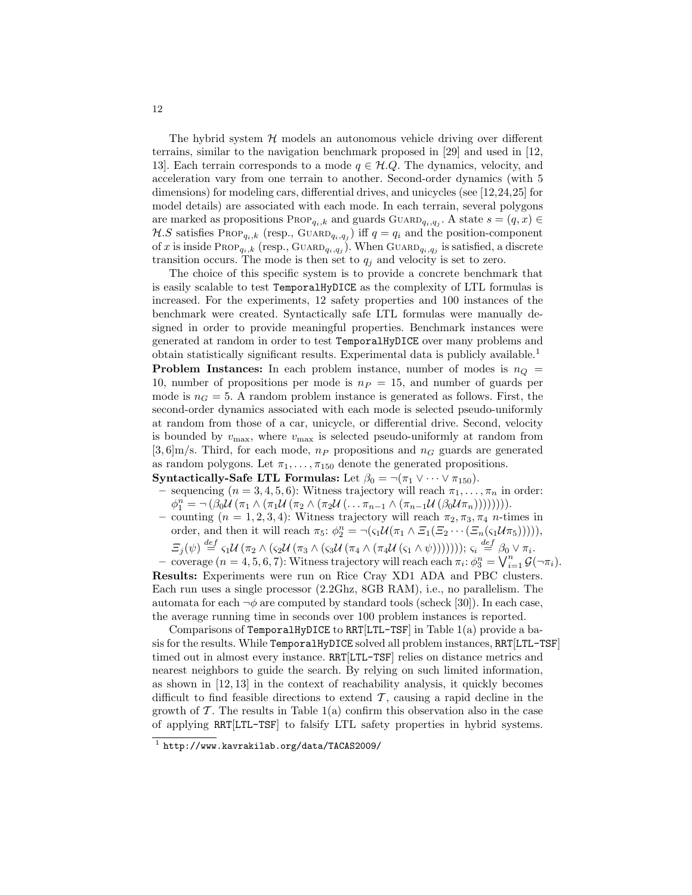The hybrid system  $H$  models an autonomous vehicle driving over different terrains, similar to the navigation benchmark proposed in [29] and used in [12, 13]. Each terrain corresponds to a mode  $q \in \mathcal{H}.Q$ . The dynamics, velocity, and acceleration vary from one terrain to another. Second-order dynamics (with 5 dimensions) for modeling cars, differential drives, and unicycles (see [12,24,25] for model details) are associated with each mode. In each terrain, several polygons are marked as propositions  $\text{Prop}_{q_i,k}$  and guards  $\text{Guap}_{q_i,q_j}$ . A state  $s = (q, x) \in$  $\mathcal{H}.S$  satisfies Prop<sub>q<sub>i</sub>,k<sub>c</sub> (resp., GUARD<sub>q<sub>i</sub>,q<sub>j</sub>) iff  $q = q_i$  and the position-component</sub></sub> of x is inside Prop<sub>qi,k</sub> (resp., Guard<sub>qi,qj</sub>). When Guard<sub>qi,qj</sub> is satisfied, a discrete transition occurs. The mode is then set to  $q_j$  and velocity is set to zero.

The choice of this specific system is to provide a concrete benchmark that is easily scalable to test TemporalHyDICE as the complexity of LTL formulas is increased. For the experiments, 12 safety properties and 100 instances of the benchmark were created. Syntactically safe LTL formulas were manually designed in order to provide meaningful properties. Benchmark instances were generated at random in order to test TemporalHyDICE over many problems and obtain statistically significant results. Experimental data is publicly available.<sup>1</sup> **Problem Instances:** In each problem instance, number of modes is  $n_Q$  = 10, number of propositions per mode is  $n_P = 15$ , and number of guards per

mode is  $n<sub>G</sub> = 5$ . A random problem instance is generated as follows. First, the second-order dynamics associated with each mode is selected pseudo-uniformly at random from those of a car, unicycle, or differential drive. Second, velocity is bounded by  $v_{\text{max}}$ , where  $v_{\text{max}}$  is selected pseudo-uniformly at random from  $[3, 6]$ m/s. Third, for each mode,  $n_P$  propositions and  $n_G$  guards are generated as random polygons. Let  $\pi_1, \ldots, \pi_{150}$  denote the generated propositions.

**Syntactically-Safe LTL Formulas:** Let  $\beta_0 = \neg(\pi_1 \vee \cdots \vee \pi_{150})$ .

- sequencing ( $n = 3, 4, 5, 6$ ): Witness trajectory will reach  $\pi_1, \ldots, \pi_n$  in order:  $\phi_1^n = \neg (\beta_0 \mathcal{U} (\pi_1 \wedge (\pi_1 \mathcal{U} (\pi_2 \wedge (\pi_2 \mathcal{U} (\ldots \pi_{n-1} \wedge (\pi_{n-1} \mathcal{U} (\beta_0 \mathcal{U} \pi_n)))))))$
- counting  $(n = 1, 2, 3, 4)$ : Witness trajectory will reach  $\pi_2, \pi_3, \pi_4$  *n*-times in order, and then it will reach  $\pi_5$ :  $\phi_2^n = \neg(\varsigma_1 \mathcal{U}(\pi_1 \wedge \Xi_1(\Xi_2 \cdots (\Xi_n(\varsigma_1 \mathcal{U} \pi_5))))),$  $\mathcal{F}_j(\psi) \stackrel{def}{=} \varsigma_1 \mathcal{U} (\pi_2 \wedge (\varsigma_2 \mathcal{U} (\pi_3 \wedge (\varsigma_3 \mathcal{U} (\pi_4 \wedge (\pi_4 \mathcal{U} (\varsigma_1 \wedge \psi)))))); \varsigma_i \stackrel{def}{=} \beta_0 \vee \pi_i.$

$$
\text{coverage } (n = 4, 5, 6, 7): \text{Witness trajectory will reach each } \pi_i: \phi_3^n = \bigvee_{i=1}^n \mathcal{G}(\neg \pi_i).
$$

Results: Experiments were run on Rice Cray XD1 ADA and PBC clusters. Each run uses a single processor (2.2Ghz, 8GB RAM), i.e., no parallelism. The automata for each  $\neg \phi$  are computed by standard tools (scheck [30]). In each case, the average running time in seconds over 100 problem instances is reported.

Comparisons of TemporalHyDICE to RRT[LTL-TSF] in Table 1(a) provide a basis for the results. While TemporalHyDICE solved all problem instances, RRT[LTL-TSF] timed out in almost every instance. RRT[LTL-TSF] relies on distance metrics and nearest neighbors to guide the search. By relying on such limited information, as shown in [12, 13] in the context of reachability analysis, it quickly becomes difficult to find feasible directions to extend  $\mathcal T$ , causing a rapid decline in the growth of  $\mathcal T$ . The results in Table 1(a) confirm this observation also in the case of applying RRT[LTL-TSF] to falsify LTL safety properties in hybrid systems.

<sup>1</sup> http://www.kavrakilab.org/data/TACAS2009/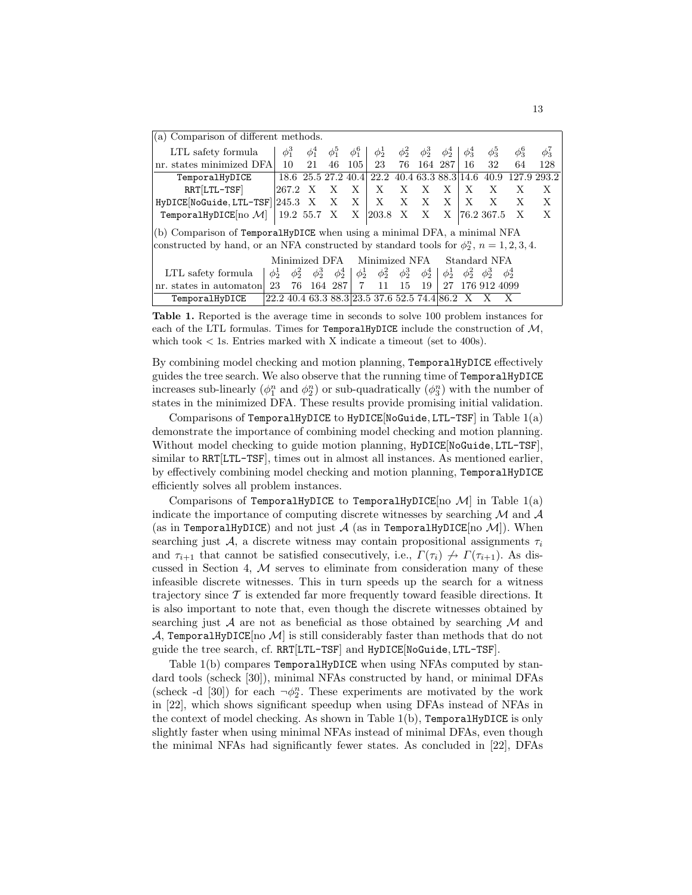| (a) Comparison of different methods.                                                             |            |            |               |            |                     |                                              |            |                           |            |                       |                  |            |                   |  |
|--------------------------------------------------------------------------------------------------|------------|------------|---------------|------------|---------------------|----------------------------------------------|------------|---------------------------|------------|-----------------------|------------------|------------|-------------------|--|
| LTL safety formula                                                                               | $\phi_1^3$ |            | $\phi_1^4$    | $\phi_1^5$ | $\phi_1^6$          | $\phi_2^1$                                   | $\phi_2^2$ | $\phi_2^3$                | $\phi_2^4$ | $\phi_3^4$            | $\phi_3^{\rm o}$ | $\phi_3^6$ | $\phi_3^{\prime}$ |  |
| nr. states minimized DFA                                                                         |            | 10         | 21            | 46         | 105                 | 23                                           | 76         |                           | 164 287    | 16                    | 32               | 64         | 128               |  |
| TemporalHyDICE                                                                                   |            |            |               |            | 18.6 25.5 27.2 40.4 | 22.2 40.4 63.3 88.3 14.6                     |            |                           |            |                       | 40.9             |            | 127.9 293.2       |  |
| $RRT[LTL-TSF]$                                                                                   |            | 267.2      | X             | Х          | X                   | X                                            | X          | X                         | X          | X                     | X                | Х          | X                 |  |
| $HyDICE[NoGuide, LTL-TSF] 245.3 X X X$                                                           |            |            |               |            |                     | X                                            | X X        |                           | X          | X                     | X                | X          | Х                 |  |
| TemporalHyDICE $[no\ \mathcal{M}]$                                                               |            |            | 19.2 55.7 X X |            |                     | $ 203.8 \tX $                                |            | $\boldsymbol{\mathrm{X}}$ | X          |                       | 76.2 367.5       | X          | X                 |  |
| (b) Comparison of TemporalHyDICE when using a minimal DFA, a minimal NFA                         |            |            |               |            |                     |                                              |            |                           |            |                       |                  |            |                   |  |
| constructed by hand, or an NFA constructed by standard tools for $\phi_2^n$ , $n = 1, 2, 3, 4$ . |            |            |               |            |                     |                                              |            |                           |            |                       |                  |            |                   |  |
| Minimized NFA<br>Standard NFA<br>Minimized DFA                                                   |            |            |               |            |                     |                                              |            |                           |            |                       |                  |            |                   |  |
| LTL safety formula                                                                               | $\phi_2^1$ | $\phi_2^2$ | $\phi_2^3$    | $\phi_2^4$ | $\phi_2^1$          | $\phi_2^2$                                   | $\phi_2^3$ | $\phi_2^4$                | $\phi_2^1$ | $\phi_2^2$ $\phi_2^3$ |                  | $\phi_2^4$ |                   |  |
| nr. states in automaton                                                                          | 23         | 76         |               | 164 287    | 7                   | 11                                           | 15         | 19                        | 27         |                       | 176 912 4099     |            |                   |  |
| TemporalHyDICE                                                                                   |            |            |               |            |                     | 22.2 40.4 63.3 88.3 23.5 37.6 52.5 74.4 86.2 |            |                           |            |                       |                  |            |                   |  |

Table 1. Reported is the average time in seconds to solve 100 problem instances for each of the LTL formulas. Times for TemporalHyDICE include the construction of  $M$ , which took  $\langle$  1s. Entries marked with X indicate a timeout (set to 400s).

By combining model checking and motion planning, TemporalHyDICE effectively guides the tree search. We also observe that the running time of TemporalHyDICE increases sub-linearly  $(\phi_1^n \text{ and } \phi_2^n)$  or sub-quadratically  $(\phi_3^n)$  with the number of states in the minimized DFA. These results provide promising initial validation.

Comparisons of TemporalHyDICE to HyDICE[NoGuide, LTL-TSF] in Table 1(a) demonstrate the importance of combining model checking and motion planning. Without model checking to guide motion planning, HyDICE[NoGuide, LTL-TSF], similar to RRT[LTL-TSF], times out in almost all instances. As mentioned earlier, by effectively combining model checking and motion planning, TemporalHyDICE efficiently solves all problem instances.

Comparisons of TemporalHyDICE to TemporalHyDICE[no  $\mathcal{M}$ ] in Table 1(a) indicate the importance of computing discrete witnesses by searching  $M$  and  $A$ (as in TemporalHyDICE) and not just  $A$  (as in TemporalHyDICE[no  $M$ ]). When searching just A, a discrete witness may contain propositional assignments  $\tau_i$ and  $\tau_{i+1}$  that cannot be satisfied consecutively, i.e.,  $\Gamma(\tau_i) \nrightarrow \Gamma(\tau_{i+1})$ . As discussed in Section 4,  $M$  serves to eliminate from consideration many of these infeasible discrete witnesses. This in turn speeds up the search for a witness trajectory since  $\mathcal T$  is extended far more frequently toward feasible directions. It is also important to note that, even though the discrete witnesses obtained by searching just  $\mathcal A$  are not as beneficial as those obtained by searching  $\mathcal M$  and  $\mathcal{A}$ , TemporalHyDICE[no  $\mathcal{M}$ ] is still considerably faster than methods that do not guide the tree search, cf. RRT[LTL-TSF] and HyDICE[NoGuide, LTL-TSF].

Table 1(b) compares TemporalHyDICE when using NFAs computed by standard tools (scheck [30]), minimal NFAs constructed by hand, or minimal DFAs (scheck -d [30]) for each  $\neg \phi_2^n$ . These experiments are motivated by the work in [22], which shows significant speedup when using DFAs instead of NFAs in the context of model checking. As shown in Table  $1(b)$ , TemporalHyDICE is only slightly faster when using minimal NFAs instead of minimal DFAs, even though the minimal NFAs had significantly fewer states. As concluded in [22], DFAs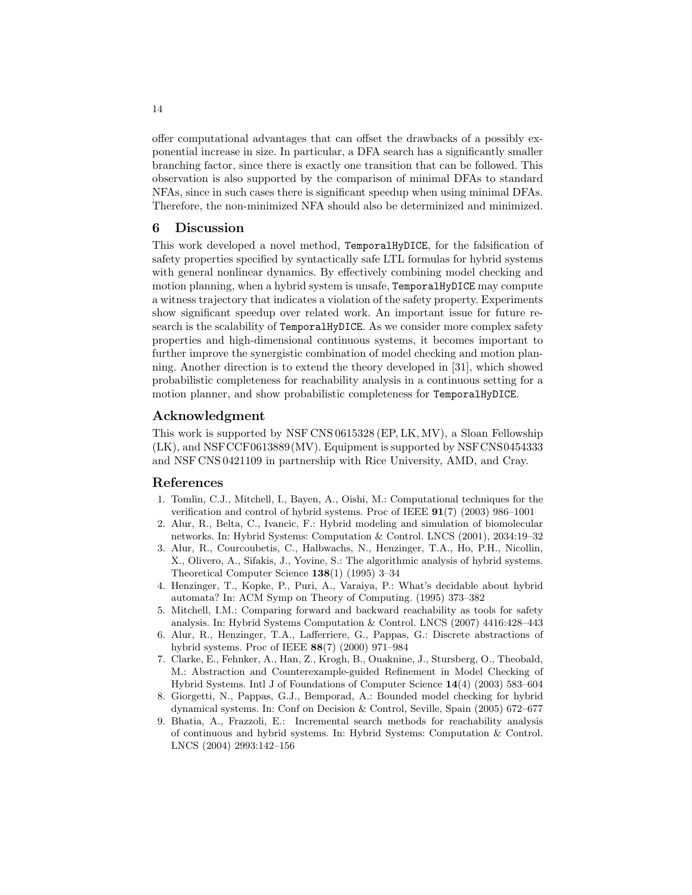offer computational advantages that can offset the drawbacks of a possibly exponential increase in size. In particular, a DFA search has a significantly smaller branching factor, since there is exactly one transition that can be followed. This observation is also supported by the comparison of minimal DFAs to standard NFAs, since in such cases there is significant speedup when using minimal DFAs. Therefore, the non-minimized NFA should also be determinized and minimized.

# 6 Discussion

This work developed a novel method, TemporalHyDICE, for the falsification of safety properties specified by syntactically safe LTL formulas for hybrid systems with general nonlinear dynamics. By effectively combining model checking and motion planning, when a hybrid system is unsafe, TemporalHyDICE may compute a witness trajectory that indicates a violation of the safety property. Experiments show significant speedup over related work. An important issue for future research is the scalability of TemporalHyDICE. As we consider more complex safety properties and high-dimensional continuous systems, it becomes important to further improve the synergistic combination of model checking and motion planning. Another direction is to extend the theory developed in [31], which showed probabilistic completeness for reachability analysis in a continuous setting for a motion planner, and show probabilistic completeness for TemporalHyDICE.

# Acknowledgment

This work is supported by NSF CNS 0615328 (EP, LK, MV), a Sloan Fellowship (LK), and NSFCCF0613889(MV). Equipment is supported by NSFCNS0454333 and NSF CNS 0421109 in partnership with Rice University, AMD, and Cray.

## References

- 1. Tomlin, C.J., Mitchell, I., Bayen, A., Oishi, M.: Computational techniques for the verification and control of hybrid systems. Proc of IEEE 91(7) (2003) 986–1001
- 2. Alur, R., Belta, C., Ivancic, F.: Hybrid modeling and simulation of biomolecular networks. In: Hybrid Systems: Computation & Control. LNCS (2001), 2034:19–32
- 3. Alur, R., Courcoubetis, C., Halbwachs, N., Henzinger, T.A., Ho, P.H., Nicollin, X., Olivero, A., Sifakis, J., Yovine, S.: The algorithmic analysis of hybrid systems. Theoretical Computer Science 138(1) (1995) 3–34
- 4. Henzinger, T., Kopke, P., Puri, A., Varaiya, P.: What's decidable about hybrid automata? In: ACM Symp on Theory of Computing. (1995) 373–382
- 5. Mitchell, I.M.: Comparing forward and backward reachability as tools for safety analysis. In: Hybrid Systems Computation & Control. LNCS (2007) 4416:428–443
- 6. Alur, R., Henzinger, T.A., Lafferriere, G., Pappas, G.: Discrete abstractions of hybrid systems. Proc of IEEE 88(7) (2000) 971–984
- 7. Clarke, E., Fehnker, A., Han, Z., Krogh, B., Ouaknine, J., Stursberg, O., Theobald, M.: Abstraction and Counterexample-guided Refinement in Model Checking of Hybrid Systems. Intl J of Foundations of Computer Science 14(4) (2003) 583–604
- 8. Giorgetti, N., Pappas, G.J., Bemporad, A.: Bounded model checking for hybrid dynamical systems. In: Conf on Decision & Control, Seville, Spain (2005) 672–677
- 9. Bhatia, A., Frazzoli, E.: Incremental search methods for reachability analysis of continuous and hybrid systems. In: Hybrid Systems: Computation & Control. LNCS (2004) 2993:142–156